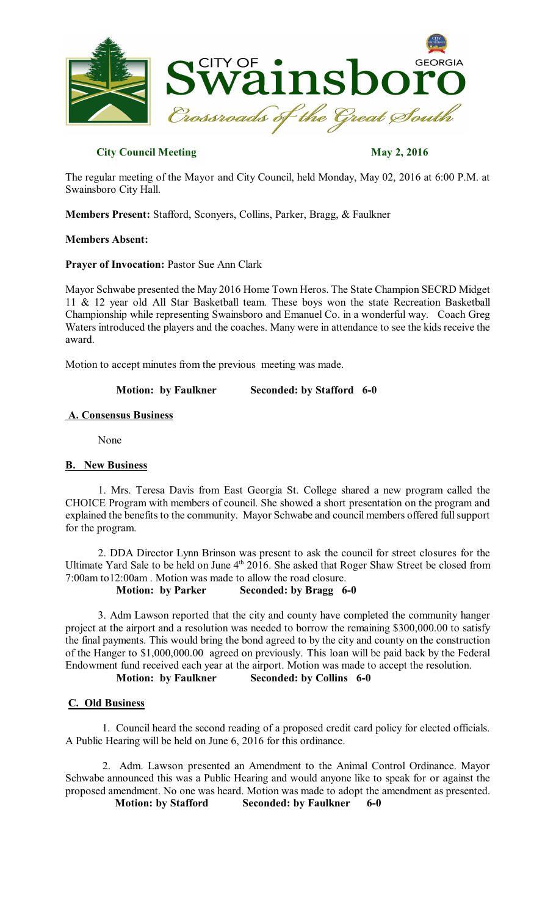

## **City Council Meeting May 2, 2016**

The regular meeting of the Mayor and City Council, held Monday, May 02, 2016 at 6:00 P.M. at Swainsboro City Hall.

**Members Present:** Stafford, Sconyers, Collins, Parker, Bragg, & Faulkner

### **Members Absent:**

### **Prayer of Invocation:** Pastor Sue Ann Clark

Mayor Schwabe presented the May 2016 Home Town Heros. The State Champion SECRD Midget 11 & 12 year old All Star Basketball team. These boys won the state Recreation Basketball Championship while representing Swainsboro and Emanuel Co. in a wonderful way. Coach Greg Waters introduced the players and the coaches. Many were in attendance to see the kids receive the award.

Motion to accept minutes from the previous meeting was made.

### **Motion: by Faulkner Seconded: by Stafford 6-0**

### **A. Consensus Business**

None

## **B. New Business**

1. Mrs. Teresa Davis from East Georgia St. College shared a new program called the CHOICE Program with members of council. She showed a short presentation on the program and explained the benefits to the community. Mayor Schwabe and council members offered full support for the program.

2. DDA Director Lynn Brinson was present to ask the council for street closures for the Ultimate Yard Sale to be held on June 4<sup>th</sup> 2016. She asked that Roger Shaw Street be closed from 7:00am to12:00am . Motion was made to allow the road closure.

#### **Motion: by Parker Seconded: by Bragg 6-0**

3. Adm Lawson reported that the city and county have completed the community hanger project at the airport and a resolution was needed to borrow the remaining \$300,000.00 to satisfy the final payments. This would bring the bond agreed to by the city and county on the construction of the Hanger to \$1,000,000.00 agreed on previously. This loan will be paid back by the Federal Endowment fund received each year at the airport. Motion was made to accept the resolution.<br>Motion: by Faulkner Seconded: by Collins 6-0

# **Motion: by Faulkner Seconded: by Collins 6-0**

## **C. Old Business**

1. Council heard the second reading of a proposed credit card policy for elected officials. A Public Hearing will be held on June 6, 2016 for this ordinance.

2. Adm. Lawson presented an Amendment to the Animal Control Ordinance. Mayor Schwabe announced this was a Public Hearing and would anyone like to speak for or against the proposed amendment. No one was heard. Motion was made to adopt the amendment as presented. **Motion: by Stafford Seconded: by Faulkner 6-0**